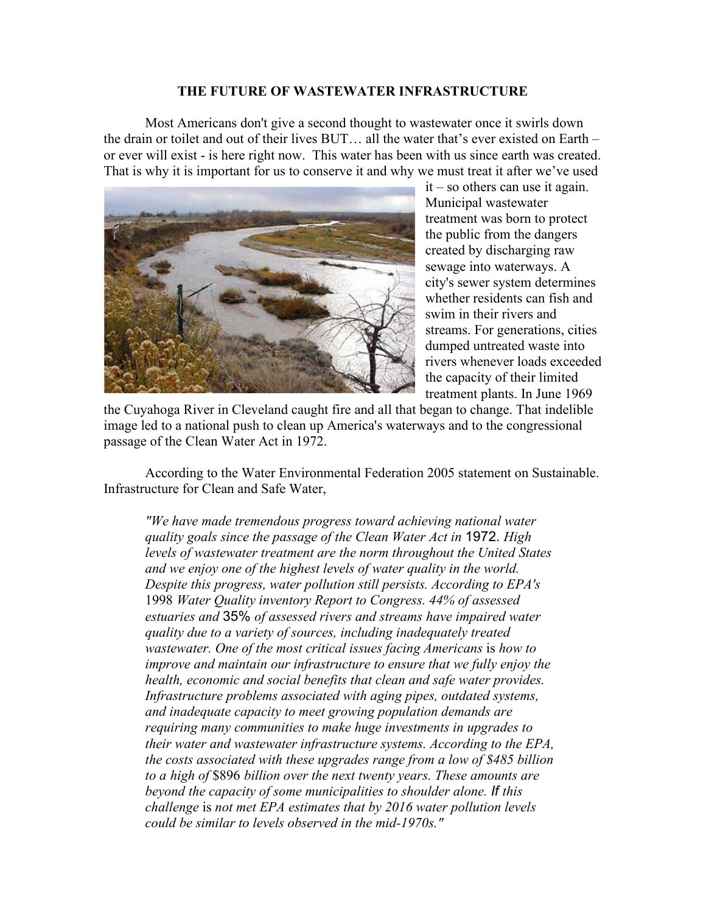## **THE FUTURE OF WASTEWATER INFRASTRUCTURE**

Most Americans don't give a second thought to wastewater once it swirls down the drain or toilet and out of their lives BUT… all the water that's ever existed on Earth – or ever will exist - is here right now. This water has been with us since earth was created. That is why it is important for us to conserve it and why we must treat it after we've used



it – so others can use it again. Municipal wastewater treatment was born to protect the public from the dangers created by discharging raw sewage into waterways. A city's sewer system determines whether residents can fish and swim in their rivers and streams. For generations, cities dumped untreated waste into rivers whenever loads exceeded the capacity of their limited treatment plants. In June 1969

the Cuyahoga River in Cleveland caught fire and all that began to change. That indelible image led to a national push to clean up America's waterways and to the congressional passage of the Clean Water Act in 1972.

According to the Water Environmental Federation 2005 statement on Sustainable. Infrastructure for Clean and Safe Water,

*"We have made tremendous progress toward achieving national water quality goals since the passage of the Clean Water Act in* 1972. *High levels of wastewater treatment are the norm throughout the United States and we enjoy one of the highest levels of water quality in the world. Despite this progress, water pollution still persists. According to EPA's*  1998 *Water Quality inventory Report to Congress. 44% of assessed estuaries and* 35% *of assessed rivers and streams have impaired water quality due to a variety of sources, including inadequately treated wastewater. One of the most critical issues facing Americans is how to improve and maintain our infrastructure to ensure that we fully enjoy the health, economic and social benefits that clean and safe water provides. Infrastructure problems associated with aging pipes, outdated systems, and inadequate capacity to meet growing population demands are requiring many communities to make huge investments in upgrades to their water and wastewater infrastructure systems. According to the EPA, the costs associated with these upgrades range from a low of \$485 billion to a high of* \$896 *billion over the next twenty years. These amounts are beyond the capacity of some municipalities to shoulder alone. If this challenge* is *not met EPA estimates that by 2016 water pollution levels could be similar to levels observed in the mid-1970s."*